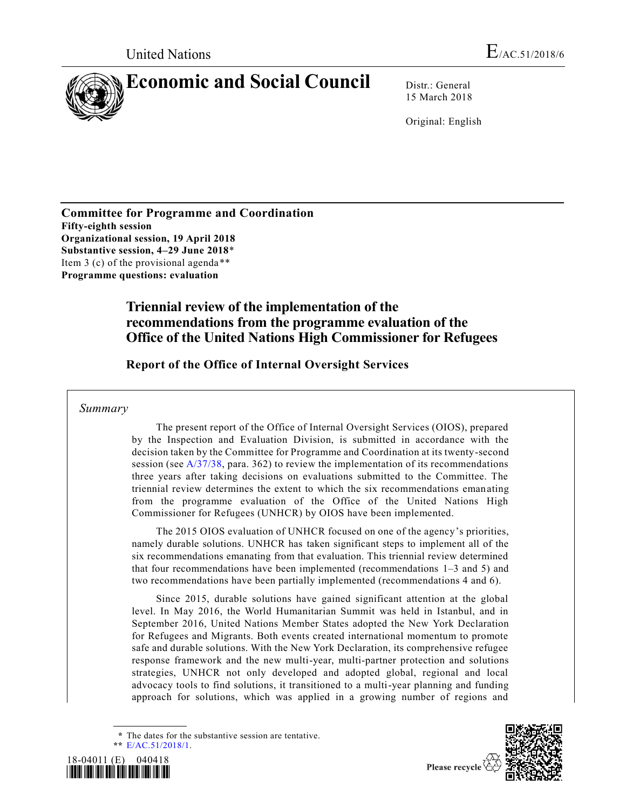

15 March 2018

Original: English

**Committee for Programme and Coordination Fifty-eighth session Organizational session, 19 April 2018 Substantive session, 4–29 June 2018**\* Item 3 (c) of the provisional agenda\*\* **Programme questions: evaluation**

# **Triennial review of the implementation of the recommendations from the programme evaluation of the Office of the United Nations High Commissioner for Refugees**

**Report of the Office of Internal Oversight Services**

*Summary*

The present report of the Office of Internal Oversight Services (OIOS), prepared by the Inspection and Evaluation Division, is submitted in accordance with the decision taken by the Committee for Programme and Coordination at its twenty-second session (see  $A/37/38$ , para. 362) to review the implementation of its recommendations three years after taking decisions on evaluations submitted to the Committee. The triennial review determines the extent to which the six recommendations emanating from the programme evaluation of the Office of the United Nations High Commissioner for Refugees (UNHCR) by OIOS have been implemented.

The 2015 OIOS evaluation of UNHCR focused on one of the agency's priorities, namely durable solutions. UNHCR has taken significant steps to implement all of the six recommendations emanating from that evaluation. This triennial review determined that four recommendations have been implemented (recommendations 1–3 and 5) and two recommendations have been partially implemented (recommendations 4 and 6).

Since 2015, durable solutions have gained significant attention at the global level. In May 2016, the World Humanitarian Summit was held in Istanbul, and in September 2016, United Nations Member States adopted the New York Declaration for Refugees and Migrants. Both events created international momentum to promote safe and durable solutions. With the New York Declaration, its comprehensive refugee response framework and the new multi-year, multi-partner protection and solutions strategies, UNHCR not only developed and adopted global, regional and local advocacy tools to find solutions, it transitioned to a multi-year planning and funding approach for solutions, which was applied in a growing number of regions and

**<sup>\*\*</sup>** [E/AC.51/2018/1.](https://undocs.org/E/AC.51/2018/1)





**<sup>\*</sup>** The dates for the substantive session are tentative.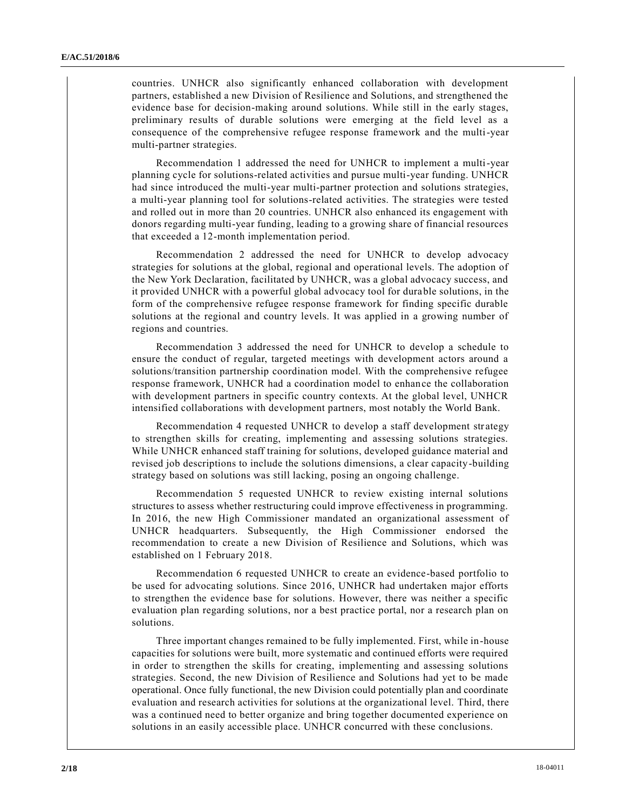countries. UNHCR also significantly enhanced collaboration with development partners, established a new Division of Resilience and Solutions, and strengthened the evidence base for decision-making around solutions. While still in the early stages, preliminary results of durable solutions were emerging at the field level as a consequence of the comprehensive refugee response framework and the multi-year multi-partner strategies.

Recommendation 1 addressed the need for UNHCR to implement a multi-year planning cycle for solutions-related activities and pursue multi-year funding. UNHCR had since introduced the multi-year multi-partner protection and solutions strategies, a multi-year planning tool for solutions-related activities. The strategies were tested and rolled out in more than 20 countries. UNHCR also enhanced its engagement with donors regarding multi-year funding, leading to a growing share of financial resources that exceeded a 12-month implementation period.

Recommendation 2 addressed the need for UNHCR to develop advocacy strategies for solutions at the global, regional and operational levels. The adoption of the New York Declaration, facilitated by UNHCR, was a global advocacy success, and it provided UNHCR with a powerful global advocacy tool for durable solutions, in the form of the comprehensive refugee response framework for finding specific durable solutions at the regional and country levels. It was applied in a growing number of regions and countries.

Recommendation 3 addressed the need for UNHCR to develop a schedule to ensure the conduct of regular, targeted meetings with development actors around a solutions/transition partnership coordination model. With the comprehensive refugee response framework, UNHCR had a coordination model to enhance the collaboration with development partners in specific country contexts. At the global level, UNHCR intensified collaborations with development partners, most notably the World Bank.

Recommendation 4 requested UNHCR to develop a staff development strategy to strengthen skills for creating, implementing and assessing solutions strategies. While UNHCR enhanced staff training for solutions, developed guidance material and revised job descriptions to include the solutions dimensions, a clear capacity-building strategy based on solutions was still lacking, posing an ongoing challenge.

Recommendation 5 requested UNHCR to review existing internal solutions structures to assess whether restructuring could improve effectiveness in programming. In 2016, the new High Commissioner mandated an organizational assessment of UNHCR headquarters. Subsequently, the High Commissioner endorsed the recommendation to create a new Division of Resilience and Solutions, which was established on 1 February 2018.

Recommendation 6 requested UNHCR to create an evidence-based portfolio to be used for advocating solutions. Since 2016, UNHCR had undertaken major efforts to strengthen the evidence base for solutions. However, there was neither a specific evaluation plan regarding solutions, nor a best practice portal, nor a research plan on solutions.

Three important changes remained to be fully implemented. First, while in-house capacities for solutions were built, more systematic and continued efforts were required in order to strengthen the skills for creating, implementing and assessing solutions strategies. Second, the new Division of Resilience and Solutions had yet to be made operational. Once fully functional, the new Division could potentially plan and coordinate evaluation and research activities for solutions at the organizational level. Third, there was a continued need to better organize and bring together documented experience on solutions in an easily accessible place. UNHCR concurred with these conclusions.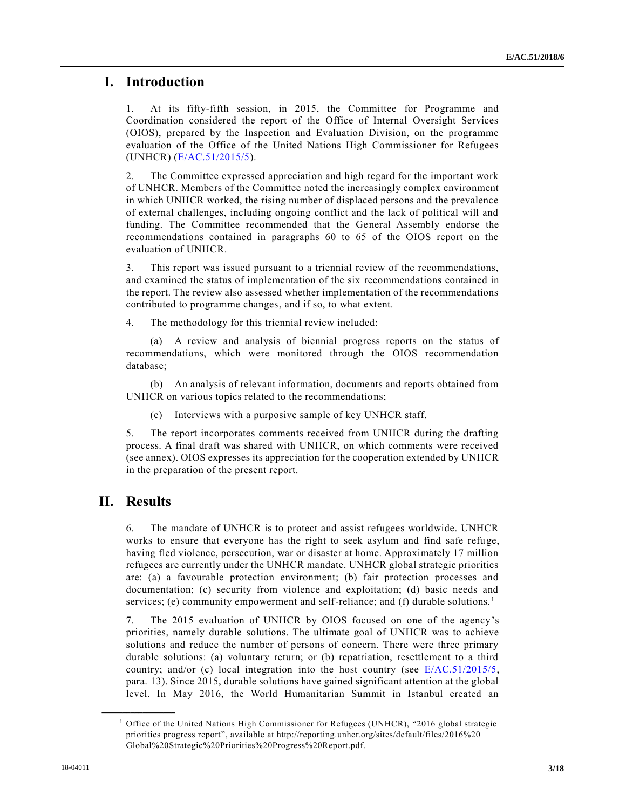# **I. Introduction**

1. At its fifty-fifth session, in 2015, the Committee for Programme and Coordination considered the report of the Office of Internal Oversight Services (OIOS), prepared by the Inspection and Evaluation Division, on the programme evaluation of the Office of the United Nations High Commissioner for Refugees (UNHCR) [\(E/AC.51/2015/5\)](https://undocs.org/E/AC.51/2015/5).

2. The Committee expressed appreciation and high regard for the important work of UNHCR. Members of the Committee noted the increasingly complex environment in which UNHCR worked, the rising number of displaced persons and the prevalence of external challenges, including ongoing conflict and the lack of political will and funding. The Committee recommended that the General Assembly endorse the recommendations contained in paragraphs 60 to 65 of the OIOS report on the evaluation of UNHCR.

3. This report was issued pursuant to a triennial review of the recommendations, and examined the status of implementation of the six recommendations contained in the report. The review also assessed whether implementation of the recommendations contributed to programme changes, and if so, to what extent.

4. The methodology for this triennial review included:

(a) A review and analysis of biennial progress reports on the status of recommendations, which were monitored through the OIOS recommendation database;

(b) An analysis of relevant information, documents and reports obtained from UNHCR on various topics related to the recommendations;

(c) Interviews with a purposive sample of key UNHCR staff.

5. The report incorporates comments received from UNHCR during the drafting process. A final draft was shared with UNHCR, on which comments were received (see annex). OIOS expresses its appreciation for the cooperation extended by UNHCR in the preparation of the present report.

# **II. Results**

**\_\_\_\_\_\_\_\_\_\_\_\_\_\_\_\_\_\_**

6. The mandate of UNHCR is to protect and assist refugees worldwide. UNHCR works to ensure that everyone has the right to seek asylum and find safe refuge, having fled violence, persecution, war or disaster at home. Approximately 17 million refugees are currently under the UNHCR mandate. UNHCR global strategic priorities are: (a) a favourable protection environment; (b) fair protection processes and documentation; (c) security from violence and exploitation; (d) basic needs and services; (e) community empowerment and self-reliance; and (f) durable solutions.<sup>1</sup>

7. The 2015 evaluation of UNHCR by OIOS focused on one of the agency's priorities, namely durable solutions. The ultimate goal of UNHCR was to achieve solutions and reduce the number of persons of concern. There were three primary durable solutions: (a) voluntary return; or (b) repatriation, resettlement to a third country; and/or (c) local integration into the host country (see [E/AC.51/2015/5,](https://undocs.org/E/AC.51/2015/5) para. 13). Since 2015, durable solutions have gained significant attention at the global level. In May 2016, the World Humanitarian Summit in Istanbul created an

<sup>&</sup>lt;sup>1</sup> Office of the United Nations High Commissioner for Refugees (UNHCR), "2016 global strategic priorities progress report", available at http://reporting.unhcr.org/sites/default/files/2016%20 Global%20Strategic%20Priorities%20Progress%20Report.pdf.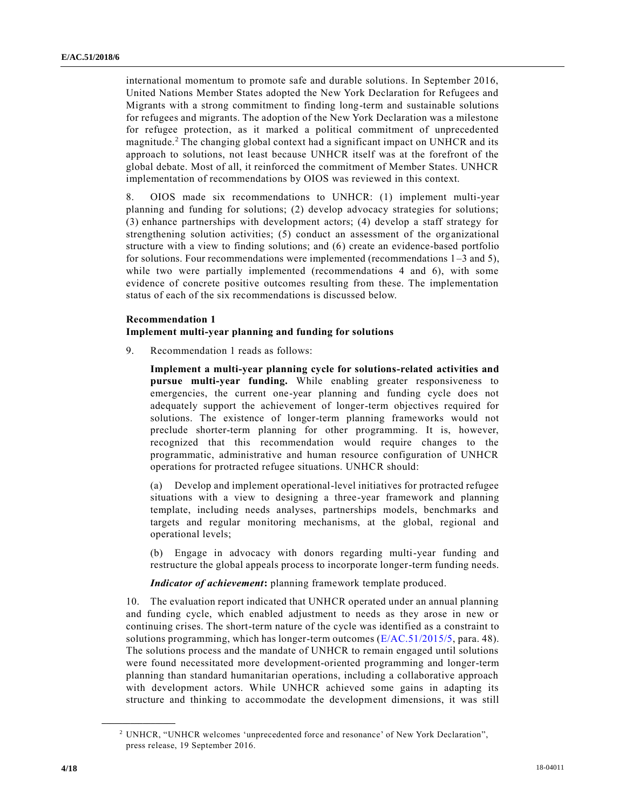international momentum to promote safe and durable solutions. In September 2016, United Nations Member States adopted the New York Declaration for Refugees and Migrants with a strong commitment to finding long-term and sustainable solutions for refugees and migrants. The adoption of the New York Declaration was a milestone for refugee protection, as it marked a political commitment of unprecedented magnitude.<sup>2</sup> The changing global context had a significant impact on UNHCR and its approach to solutions, not least because UNHCR itself was at the forefront of the global debate. Most of all, it reinforced the commitment of Member States. UNHCR implementation of recommendations by OIOS was reviewed in this context.

8. OIOS made six recommendations to UNHCR: (1) implement multi-year planning and funding for solutions; (2) develop advocacy strategies for solutions; (3) enhance partnerships with development actors; (4) develop a staff strategy for strengthening solution activities; (5) conduct an assessment of the organizational structure with a view to finding solutions; and (6) create an evidence-based portfolio for solutions. Four recommendations were implemented (recommendations  $1-3$  and 5), while two were partially implemented (recommendations 4 and 6), with some evidence of concrete positive outcomes resulting from these. The implementation status of each of the six recommendations is discussed below.

### **Recommendation 1**

## **Implement multi-year planning and funding for solutions**

9. Recommendation 1 reads as follows:

**Implement a multi-year planning cycle for solutions-related activities and pursue multi-year funding.** While enabling greater responsiveness to emergencies, the current one-year planning and funding cycle does not adequately support the achievement of longer-term objectives required for solutions. The existence of longer-term planning frameworks would not preclude shorter-term planning for other programming. It is, however, recognized that this recommendation would require changes to the programmatic, administrative and human resource configuration of UNHCR operations for protracted refugee situations. UNHCR should:

(a) Develop and implement operational-level initiatives for protracted refugee situations with a view to designing a three-year framework and planning template, including needs analyses, partnerships models, benchmarks and targets and regular monitoring mechanisms, at the global, regional and operational levels;

(b) Engage in advocacy with donors regarding multi-year funding and restructure the global appeals process to incorporate longer-term funding needs.

*Indicator of achievement***:** planning framework template produced.

10. The evaluation report indicated that UNHCR operated under an annual planning and funding cycle, which enabled adjustment to needs as they arose in new or continuing crises. The short-term nature of the cycle was identified as a constraint to solutions programming, which has longer-term outcomes [\(E/AC.51/2015/5,](https://undocs.org/E/AC.51/2015/5) para. 48). The solutions process and the mandate of UNHCR to remain engaged until solutions were found necessitated more development-oriented programming and longer-term planning than standard humanitarian operations, including a collaborative approach with development actors. While UNHCR achieved some gains in adapting its structure and thinking to accommodate the development dimensions, it was still

<sup>2</sup> UNHCR, "UNHCR welcomes 'unprecedented force and resonance' of New York Declaration", press release, 19 September 2016.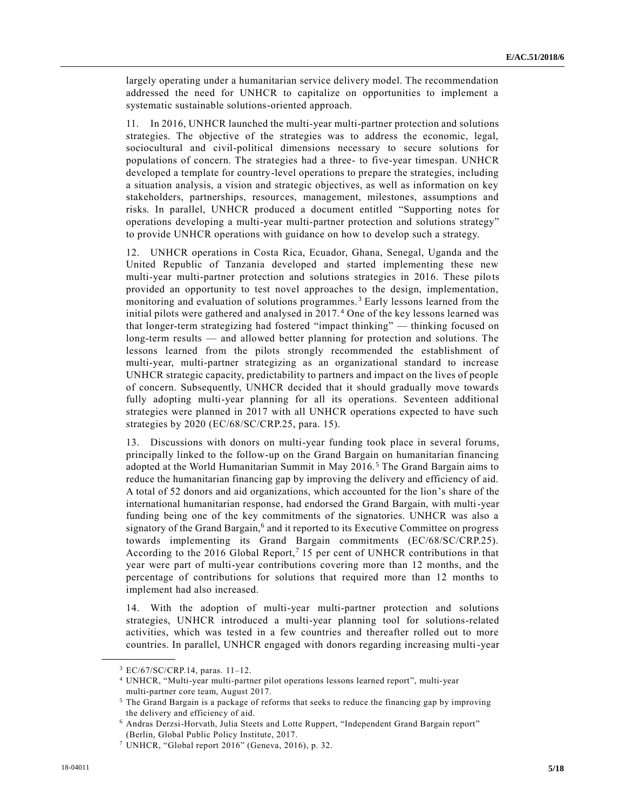largely operating under a humanitarian service delivery model. The recommendation addressed the need for UNHCR to capitalize on opportunities to implement a systematic sustainable solutions-oriented approach.

11. In 2016, UNHCR launched the multi-year multi-partner protection and solutions strategies. The objective of the strategies was to address the economic, legal, sociocultural and civil-political dimensions necessary to secure solutions for populations of concern. The strategies had a three- to five-year timespan. UNHCR developed a template for country-level operations to prepare the strategies, including a situation analysis, a vision and strategic objectives, as well as information on key stakeholders, partnerships, resources, management, milestones, assumptions and risks. In parallel, UNHCR produced a document entitled "Supporting notes for operations developing a multi-year multi-partner protection and solutions strategy" to provide UNHCR operations with guidance on how to develop such a strategy.

12. UNHCR operations in Costa Rica, Ecuador, Ghana, Senegal, Uganda and the United Republic of Tanzania developed and started implementing these new multi-year multi-partner protection and solutions strategies in 2016. These pilots provided an opportunity to test novel approaches to the design, implementation, monitoring and evaluation of solutions programmes. <sup>3</sup> Early lessons learned from the initial pilots were gathered and analysed in 2017. <sup>4</sup> One of the key lessons learned was that longer-term strategizing had fostered "impact thinking" — thinking focused on long-term results — and allowed better planning for protection and solutions. The lessons learned from the pilots strongly recommended the establishment of multi-year, multi-partner strategizing as an organizational standard to increase UNHCR strategic capacity, predictability to partners and impact on the lives of people of concern. Subsequently, UNHCR decided that it should gradually move towards fully adopting multi-year planning for all its operations. Seventeen additional strategies were planned in 2017 with all UNHCR operations expected to have such strategies by 2020 (EC/68/SC/CRP.25, para. 15).

13. Discussions with donors on multi-year funding took place in several forums, principally linked to the follow-up on the Grand Bargain on humanitarian financing adopted at the World Humanitarian Summit in May 2016. <sup>5</sup> The Grand Bargain aims to reduce the humanitarian financing gap by improving the delivery and efficiency of aid. A total of 52 donors and aid organizations, which accounted for the lion's share of the international humanitarian response, had endorsed the Grand Bargain, with multi-year funding being one of the key commitments of the signatories. UNHCR was also a signatory of the Grand Bargain,<sup>6</sup> and it reported to its Executive Committee on progress towards implementing its Grand Bargain commitments (EC/68/SC/CRP.25). According to the 2016 Global Report,<sup>7</sup> 15 per cent of UNHCR contributions in that year were part of multi-year contributions covering more than 12 months, and the percentage of contributions for solutions that required more than 12 months to implement had also increased.

14. With the adoption of multi-year multi-partner protection and solutions strategies, UNHCR introduced a multi-year planning tool for solutions-related activities, which was tested in a few countries and thereafter rolled out to more countries. In parallel, UNHCR engaged with donors regarding increasing multi-year

<sup>3</sup> EC/67/SC/CRP.14, paras. 11–12.

<sup>4</sup> UNHCR, "Multi-year multi-partner pilot operations lessons learned report", multi-year multi-partner core team, August 2017.

<sup>5</sup> The Grand Bargain is a package of reforms that seeks to reduce the financing gap by improving the delivery and efficiency of aid.

<sup>6</sup> Andras Derzsi-Horvath, Julia Steets and Lotte Ruppert, "Independent Grand Bargain report" (Berlin, Global Public Policy Institute, 2017.

<sup>7</sup> UNHCR, "Global report 2016" (Geneva, 2016), p. 32.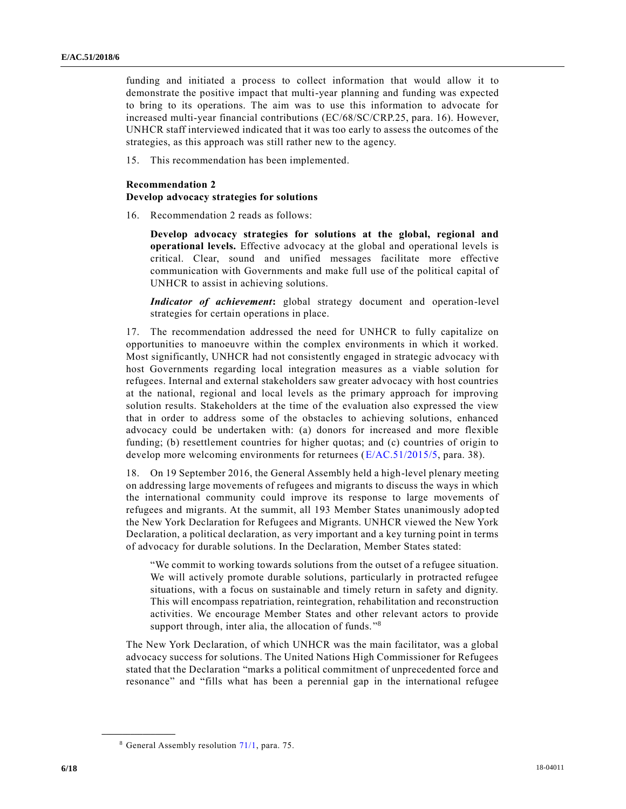funding and initiated a process to collect information that would allow it to demonstrate the positive impact that multi-year planning and funding was expected to bring to its operations. The aim was to use this information to advocate for increased multi-year financial contributions (EC/68/SC/CRP.25, para. 16). However, UNHCR staff interviewed indicated that it was too early to assess the outcomes of the strategies, as this approach was still rather new to the agency.

15. This recommendation has been implemented.

### **Recommendation 2**

#### **Develop advocacy strategies for solutions**

16. Recommendation 2 reads as follows:

**Develop advocacy strategies for solutions at the global, regional and operational levels.** Effective advocacy at the global and operational levels is critical. Clear, sound and unified messages facilitate more effective communication with Governments and make full use of the political capital of UNHCR to assist in achieving solutions.

*Indicator of achievement***:** global strategy document and operation-level strategies for certain operations in place.

17. The recommendation addressed the need for UNHCR to fully capitalize on opportunities to manoeuvre within the complex environments in which it worked. Most significantly, UNHCR had not consistently engaged in strategic advocacy with host Governments regarding local integration measures as a viable solution for refugees. Internal and external stakeholders saw greater advocacy with host countries at the national, regional and local levels as the primary approach for improving solution results. Stakeholders at the time of the evaluation also expressed the view that in order to address some of the obstacles to achieving solutions, enhanced advocacy could be undertaken with: (a) donors for increased and more flexible funding; (b) resettlement countries for higher quotas; and (c) countries of origin to develop more welcoming environments for returnees [\(E/AC.51/2015/5,](https://undocs.org/E/AC.51/2015/5) para. 38).

18. On 19 September 2016, the General Assembly held a high-level plenary meeting on addressing large movements of refugees and migrants to discuss the ways in which the international community could improve its response to large movements of refugees and migrants. At the summit, all 193 Member States unanimously adop ted the New York Declaration for Refugees and Migrants. UNHCR viewed the New York Declaration, a political declaration, as very important and a key turning point in terms of advocacy for durable solutions. In the Declaration, Member States stated:

"We commit to working towards solutions from the outset of a refugee situation. We will actively promote durable solutions, particularly in protracted refugee situations, with a focus on sustainable and timely return in safety and dignity. This will encompass repatriation, reintegration, rehabilitation and reconstruction activities. We encourage Member States and other relevant actors to provide support through, inter alia, the allocation of funds."<sup>8</sup>

The New York Declaration, of which UNHCR was the main facilitator, was a global advocacy success for solutions. The United Nations High Commissioner for Refugees stated that the Declaration "marks a political commitment of unprecedented force and resonance" and "fills what has been a perennial gap in the international refugee

<sup>8</sup> General Assembly resolution [71/1,](https://undocs.org/A/RES/71/1) para. 75.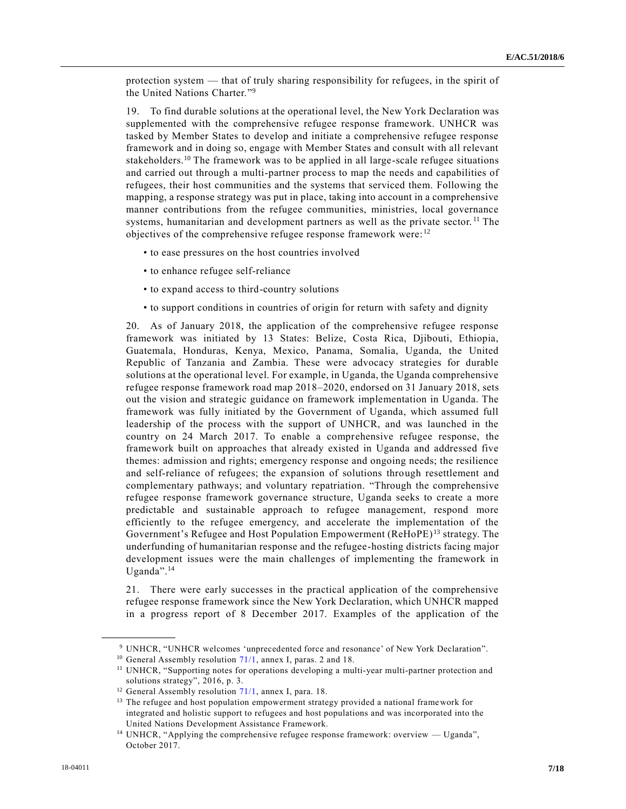protection system — that of truly sharing responsibility for refugees, in the spirit of the United Nations Charter." 9

19. To find durable solutions at the operational level, the New York Declaration was supplemented with the comprehensive refugee response framework. UNHCR was tasked by Member States to develop and initiate a comprehensive refugee response framework and in doing so, engage with Member States and consult with all relevant stakeholders.<sup>10</sup> The framework was to be applied in all large-scale refugee situations and carried out through a multi‐partner process to map the needs and capabilities of refugees, their host communities and the systems that serviced them. Following the mapping, a response strategy was put in place, taking into account in a comprehensive manner contributions from the refugee communities, ministries, local governance systems, humanitarian and development partners as well as the private sector.<sup>11</sup> The objectives of the comprehensive refugee response framework were: <sup>12</sup>

- to ease pressures on the host countries involved
- to enhance refugee self-reliance
- to expand access to third-country solutions
- to support conditions in countries of origin for return with safety and dignity

20. As of January 2018, the application of the comprehensive refugee response framework was initiated by 13 States: Belize, Costa Rica, Djibouti, Ethiopia, Guatemala, Honduras, Kenya, Mexico, Panama, Somalia, Uganda, the United Republic of Tanzania and Zambia. These were advocacy strategies for durable solutions at the operational level. For example, in Uganda, the Uganda comprehensive refugee response framework road map 2018–2020, endorsed on 31 January 2018, sets out the vision and strategic guidance on framework implementation in Uganda. The framework was fully initiated by the Government of Uganda, which assumed full leadership of the process with the support of UNHCR, and was launched in the country on 24 March 2017. To enable a comprehensive refugee response, the framework built on approaches that already existed in Uganda and addressed five themes: admission and rights; emergency response and ongoing needs; the resilience and self-reliance of refugees; the expansion of solutions through resettlement and complementary pathways; and voluntary repatriation. "Through the comprehensive refugee response framework governance structure, Uganda seeks to create a more predictable and sustainable approach to refugee management, respond more efficiently to the refugee emergency, and accelerate the implementation of the Government's Refugee and Host Population Empowerment (ReHoPE) <sup>13</sup> strategy. The underfunding of humanitarian response and the refugee-hosting districts facing major development issues were the main challenges of implementing the framework in Uganda".<sup>14</sup>

21. There were early successes in the practical application of the comprehensive refugee response framework since the New York Declaration, which UNHCR mapped in a progress report of 8 December 2017. Examples of the application of the

<sup>9</sup> UNHCR, "UNHCR welcomes 'unprecedented force and resonance' of New York Declaration".

<sup>&</sup>lt;sup>10</sup> General Assembly resolution [71/1,](https://undocs.org/A/RES/71/1) annex I, paras. 2 and 18.

<sup>11</sup> UNHCR, "Supporting notes for operations developing a multi-year multi-partner protection and solutions strategy", 2016, p. 3.

<sup>&</sup>lt;sup>12</sup> General Assembly resolution [71/1,](https://undocs.org/A/RES/71/1) annex I, para. 18.

<sup>&</sup>lt;sup>13</sup> The refugee and host population empowerment strategy provided a national framework for integrated and holistic support to refugees and host populations and was incorporated into the United Nations Development Assistance Framework.

<sup>&</sup>lt;sup>14</sup> UNHCR, "Applying the comprehensive refugee response framework: overview — Uganda", October 2017.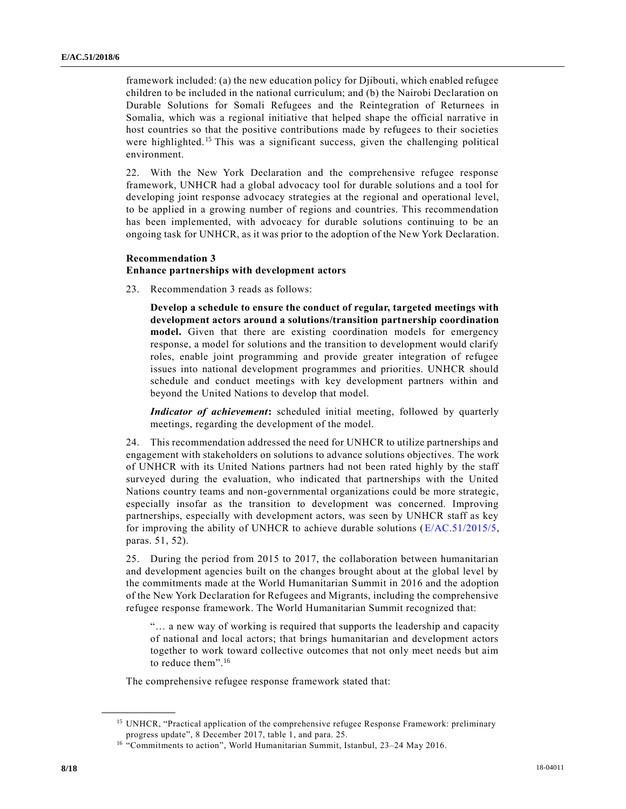framework included: (a) the new education policy for Djibouti, which enabled refugee children to be included in the national curriculum; and (b) the Nairobi Declaration on Durable Solutions for Somali Refugees and the Reintegration of Returnees in Somalia, which was a regional initiative that helped shape the official narrative in host countries so that the positive contributions made by refugees to their societies were highlighted.<sup>15</sup> This was a significant success, given the challenging political environment.

22. With the New York Declaration and the comprehensive refugee response framework, UNHCR had a global advocacy tool for durable solutions and a tool for developing joint response advocacy strategies at the regional and operational level, to be applied in a growing number of regions and countries. This recommendation has been implemented, with advocacy for durable solutions continuing to be an ongoing task for UNHCR, as it was prior to the adoption of the New York Declaration.

## **Recommendation 3**

# **Enhance partnerships with development actors**

23. Recommendation 3 reads as follows:

**Develop a schedule to ensure the conduct of regular, targeted meetings with development actors around a solutions/transition partnership coordination model.** Given that there are existing coordination models for emergency response, a model for solutions and the transition to development would clarify roles, enable joint programming and provide greater integration of refugee issues into national development programmes and priorities. UNHCR should schedule and conduct meetings with key development partners within and beyond the United Nations to develop that model.

*Indicator of achievement***:** scheduled initial meeting, followed by quarterly meetings, regarding the development of the model.

24. This recommendation addressed the need for UNHCR to utilize partnerships and engagement with stakeholders on solutions to advance solutions objectives. The work of UNHCR with its United Nations partners had not been rated highly by the staff surveyed during the evaluation, who indicated that partnerships with the United Nations country teams and non-governmental organizations could be more strategic, especially insofar as the transition to development was concerned. Improving partnerships, especially with development actors, was seen by UNHCR staff as key for improving the ability of UNHCR to achieve durable solutions [\(E/AC.51/2015/5,](https://undocs.org/E/AC.51/2015/5) paras. 51, 52).

25. During the period from 2015 to 2017, the collaboration between humanitarian and development agencies built on the changes brought about at the global level by the commitments made at the World Humanitarian Summit in 2016 and the adoption of the New York Declaration for Refugees and Migrants, including the comprehensive refugee response framework. The World Humanitarian Summit recognized that:

"… a new way of working is required that supports the leadership and capacity of national and local actors; that brings humanitarian and development actors together to work toward collective outcomes that not only meet needs but aim to reduce them". 16

The comprehensive refugee response framework stated that:

<sup>&</sup>lt;sup>15</sup> UNHCR, "Practical application of the comprehensive refugee Response Framework: preliminary progress update", 8 December 2017, table 1, and para. 25.

<sup>&</sup>lt;sup>16</sup> "Commitments to action", World Humanitarian Summit, Istanbul, 23-24 May 2016.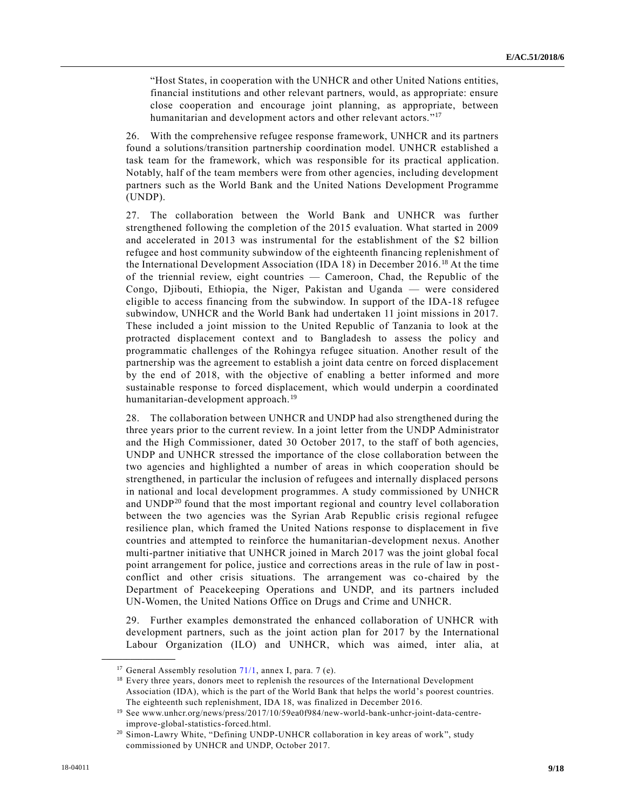"Host States, in cooperation with the UNHCR and other United Nations entities, financial institutions and other relevant partners, would, as appropriate: ensure close cooperation and encourage joint planning, as appropriate, between humanitarian and development actors and other relevant actors."<sup>17</sup>

26. With the comprehensive refugee response framework, UNHCR and its partners found a solutions/transition partnership coordination model. UNHCR established a task team for the framework, which was responsible for its practical application. Notably, half of the team members were from other agencies, including development partners such as the World Bank and the United Nations Development Programme (UNDP).

27. The collaboration between the World Bank and UNHCR was further strengthened following the completion of the 2015 evaluation. What started in 2009 and accelerated in 2013 was instrumental for the establishment of the \$2 billion refugee and host community subwindow of the eighteenth financing replenishment of the International Development Association (IDA 18) in December 2016.<sup>18</sup> At the time of the triennial review, eight countries — Cameroon, Chad, the Republic of the Congo, Djibouti, Ethiopia, the Niger, Pakistan and Uganda — were considered eligible to access financing from the subwindow. In support of the IDA-18 refugee subwindow, UNHCR and the World Bank had undertaken 11 joint missions in 2017. These included a joint mission to the United Republic of Tanzania to look at the protracted displacement context and to Bangladesh to assess the policy and programmatic challenges of the Rohingya refugee situation. Another result of the partnership was the agreement to establish a joint data centre on forced displacement by the end of 2018, with the objective of enabling a better informed and more sustainable response to forced displacement, which would underpin a coordinated humanitarian-development approach.<sup>19</sup>

28. The collaboration between UNHCR and UNDP had also strengthened during the three years prior to the current review. In a joint letter from the UNDP Administrator and the High Commissioner, dated 30 October 2017, to the staff of both agencies, UNDP and UNHCR stressed the importance of the close collaboration between the two agencies and highlighted a number of areas in which cooperation should be strengthened, in particular the inclusion of refugees and internally displaced persons in national and local development programmes. A study commissioned by UNHCR and UNDP<sup>20</sup> found that the most important regional and country level collaboration between the two agencies was the Syrian Arab Republic crisis regional refugee resilience plan, which framed the United Nations response to displacement in five countries and attempted to reinforce the humanitarian‐development nexus. Another multi-partner initiative that UNHCR joined in March 2017 was the joint global focal point arrangement for police, justice and corrections areas in the rule of law in postconflict and other crisis situations. The arrangement was co-chaired by the Department of Peacekeeping Operations and UNDP, and its partners included UN-Women, the United Nations Office on Drugs and Crime and UNHCR.

29. Further examples demonstrated the enhanced collaboration of UNHCR with development partners, such as the joint action plan for 2017 by the International Labour Organization (ILO) and UNHCR, which was aimed, inter alia, at

<sup>&</sup>lt;sup>17</sup> General Assembly resolution  $71/1$ , annex I, para. 7 (e).

<sup>&</sup>lt;sup>18</sup> Every three years, donors meet to replenish the resources of the International Development Association (IDA), which is the part of the World Bank that helps the world's poorest countries. The eighteenth such replenishment, IDA 18, was finalized in December 2016.

<sup>19</sup> See www.unhcr.org/news/press/2017/10/59ea0f984/new-world-bank-unhcr-joint-data-centreimprove-global-statistics-forced.html.

<sup>&</sup>lt;sup>20</sup> Simon-Lawry White, "Defining UNDP-UNHCR collaboration in key areas of work", study commissioned by UNHCR and UNDP, October 2017.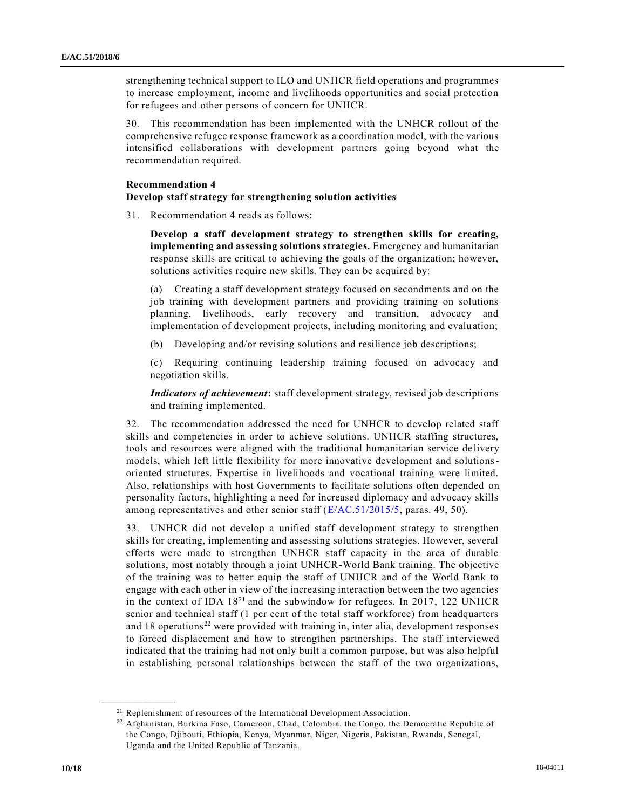strengthening technical support to ILO and UNHCR field operations and programmes to increase employment, income and livelihoods opportunities and social protection for refugees and other persons of concern for UNHCR.

30. This recommendation has been implemented with the UNHCR rollout of the comprehensive refugee response framework as a coordination model, with the various intensified collaborations with development partners going beyond what the recommendation required.

## **Recommendation 4**

#### **Develop staff strategy for strengthening solution activities**

31. Recommendation 4 reads as follows:

**Develop a staff development strategy to strengthen skills for creating, implementing and assessing solutions strategies.** Emergency and humanitarian response skills are critical to achieving the goals of the organization; however, solutions activities require new skills. They can be acquired by:

(a) Creating a staff development strategy focused on secondments and on the job training with development partners and providing training on solutions planning, livelihoods, early recovery and transition, advocacy and implementation of development projects, including monitoring and evaluation;

(b) Developing and/or revising solutions and resilience job descriptions;

(c) Requiring continuing leadership training focused on advocacy and negotiation skills.

*Indicators of achievement***:** staff development strategy, revised job descriptions and training implemented.

32. The recommendation addressed the need for UNHCR to develop related staff skills and competencies in order to achieve solutions. UNHCR staffing structures, tools and resources were aligned with the traditional humanitarian service de livery models, which left little flexibility for more innovative development and solutionsoriented structures. Expertise in livelihoods and vocational training were limited. Also, relationships with host Governments to facilitate solutions often depended on personality factors, highlighting a need for increased diplomacy and advocacy skills among representatives and other senior staff [\(E/AC.51/2015/5,](https://undocs.org/E/AC.51/2015/5) paras. 49, 50).

33. UNHCR did not develop a unified staff development strategy to strengthen skills for creating, implementing and assessing solutions strategies. However, several efforts were made to strengthen UNHCR staff capacity in the area of durable solutions, most notably through a joint UNHCR-World Bank training. The objective of the training was to better equip the staff of UNHCR and of the World Bank to engage with each other in view of the increasing interaction between the two agencies in the context of IDA  $18<sup>21</sup>$  and the subwindow for refugees. In 2017, 122 UNHCR senior and technical staff (1 per cent of the total staff workforce) from headquarters and  $18$  operations<sup>22</sup> were provided with training in, inter alia, development responses to forced displacement and how to strengthen partnerships. The staff interviewed indicated that the training had not only built a common purpose, but was also helpful in establishing personal relationships between the staff of the two organizations,

<sup>&</sup>lt;sup>21</sup> Replenishment of resources of the International Development Association.

<sup>22</sup> Afghanistan, Burkina Faso, Cameroon, Chad, Colombia, the Congo, the Democratic Republic of the Congo, Djibouti, Ethiopia, Kenya, Myanmar, Niger, Nigeria, Pakistan, Rwanda, Senegal, Uganda and the United Republic of Tanzania.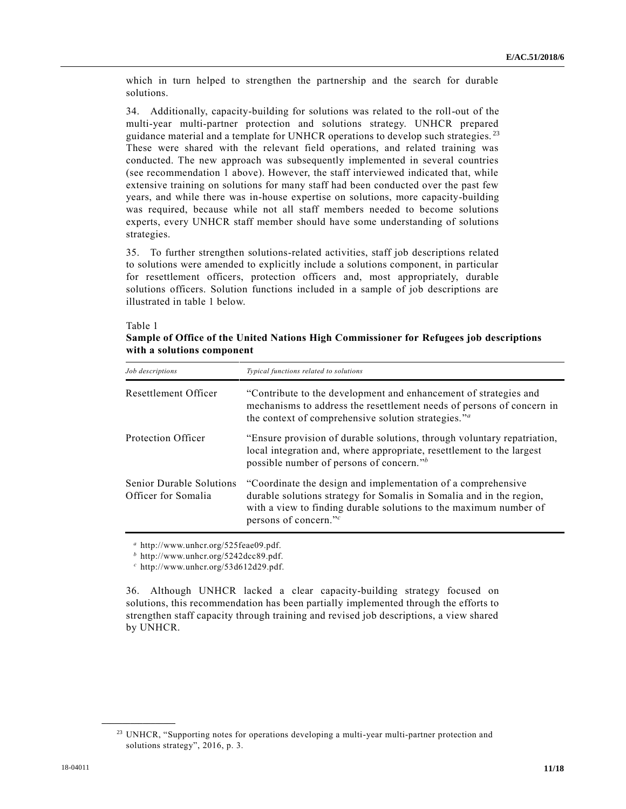which in turn helped to strengthen the partnership and the search for durable solutions.

34. Additionally, capacity-building for solutions was related to the roll-out of the multi-year multi-partner protection and solutions strategy. UNHCR prepared guidance material and a template for UNHCR operations to develop such strategies.<sup>23</sup> These were shared with the relevant field operations, and related training was conducted. The new approach was subsequently implemented in several countries (see recommendation 1 above). However, the staff interviewed indicated that, while extensive training on solutions for many staff had been conducted over the past few years, and while there was in-house expertise on solutions, more capacity-building was required, because while not all staff members needed to become solutions experts, every UNHCR staff member should have some understanding of solutions strategies.

35. To further strengthen solutions-related activities, staff job descriptions related to solutions were amended to explicitly include a solutions component, in particular for resettlement officers, protection officers and, most appropriately, durable solutions officers. Solution functions included in a sample of job descriptions are illustrated in table 1 below.

#### Table 1

## **Sample of Office of the United Nations High Commissioner for Refugees job descriptions with a solutions component**

| Job descriptions                                       | Typical functions related to solutions                                                                                                                                                                                                         |
|--------------------------------------------------------|------------------------------------------------------------------------------------------------------------------------------------------------------------------------------------------------------------------------------------------------|
| Resettlement Officer                                   | "Contribute to the development and enhancement of strategies and<br>mechanisms to address the resettlement needs of persons of concern in<br>the context of comprehensive solution strategies." <sup><i>a</i></sup>                            |
| Protection Officer                                     | "Ensure provision of durable solutions, through voluntary repatriation,<br>local integration and, where appropriate, resettlement to the largest<br>possible number of persons of concern." <sup>b</sup>                                       |
| <b>Senior Durable Solutions</b><br>Officer for Somalia | "Coordinate the design and implementation of a comprehensive<br>durable solutions strategy for Somalis in Somalia and in the region,<br>with a view to finding durable solutions to the maximum number of<br>persons of concern." <sup>c</sup> |

*<sup>a</sup>* http://www.unhcr.org/525feae09.pdf.

*<sup>b</sup>* http://www.unhcr.org/5242dcc89.pdf.

*<sup>c</sup>* http://www.unhcr.org/53d612d29.pdf.

36. Although UNHCR lacked a clear capacity-building strategy focused on solutions, this recommendation has been partially implemented through the efforts to strengthen staff capacity through training and revised job descriptions, a view shared by UNHCR.

<sup>&</sup>lt;sup>23</sup> UNHCR, "Supporting notes for operations developing a multi-year multi-partner protection and solutions strategy", 2016, p. 3.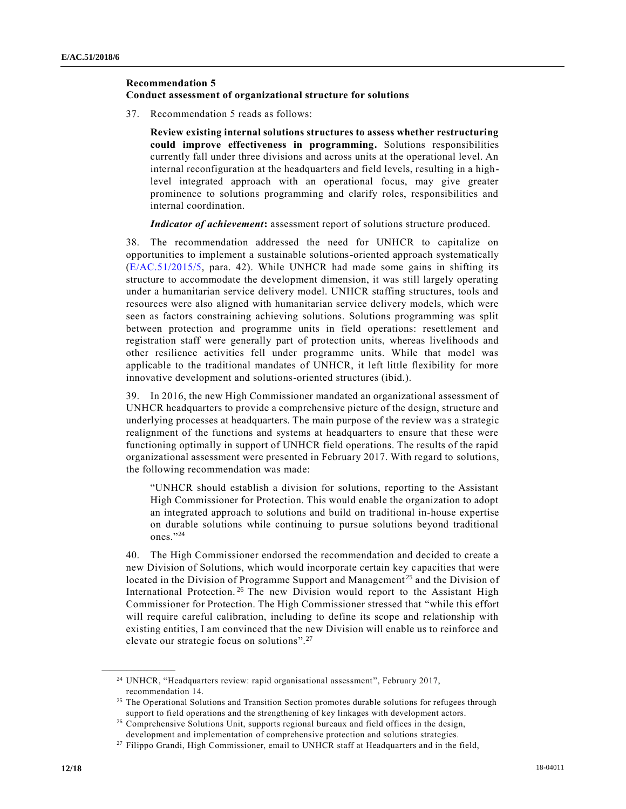### **Recommendation 5**

## **Conduct assessment of organizational structure for solutions**

37. Recommendation 5 reads as follows:

**Review existing internal solutions structures to assess whether restructuring could improve effectiveness in programming.** Solutions responsibilities currently fall under three divisions and across units at the operational level. An internal reconfiguration at the headquarters and field levels, resulting in a highlevel integrated approach with an operational focus, may give greater prominence to solutions programming and clarify roles, responsibilities and internal coordination.

*Indicator of achievement***:** assessment report of solutions structure produced.

38. The recommendation addressed the need for UNHCR to capitalize on opportunities to implement a sustainable solutions-oriented approach systematically [\(E/AC.51/2015/5,](https://undocs.org/E/AC.51/2015/5) para. 42). While UNHCR had made some gains in shifting its structure to accommodate the development dimension, it was still largely operating under a humanitarian service delivery model. UNHCR staffing structures, tools and resources were also aligned with humanitarian service delivery models, which were seen as factors constraining achieving solutions. Solutions programming was split between protection and programme units in field operations: resettlement and registration staff were generally part of protection units, whereas livelihoods and other resilience activities fell under programme units. While that model was applicable to the traditional mandates of UNHCR, it left little flexibility for more innovative development and solutions-oriented structures (ibid.).

39. In 2016, the new High Commissioner mandated an organizational assessment of UNHCR headquarters to provide a comprehensive picture of the design, structure and underlying processes at headquarters. The main purpose of the review wa s a strategic realignment of the functions and systems at headquarters to ensure that these were functioning optimally in support of UNHCR field operations. The results of the rapid organizational assessment were presented in February 2017. With regard to solutions, the following recommendation was made:

"UNHCR should establish a division for solutions, reporting to the Assistant High Commissioner for Protection. This would enable the organization to adopt an integrated approach to solutions and build on traditional in-house expertise on durable solutions while continuing to pursue solutions beyond traditional ones." 24

40. The High Commissioner endorsed the recommendation and decided to create a new Division of Solutions, which would incorporate certain key c apacities that were located in the Division of Programme Support and Management<sup>25</sup> and the Division of International Protection.<sup>26</sup> The new Division would report to the Assistant High Commissioner for Protection. The High Commissioner stressed that "while this effort will require careful calibration, including to define its scope and relationship with existing entities, I am convinced that the new Division will enable us to reinforce and elevate our strategic focus on solutions". 27

<sup>24</sup> UNHCR, "Headquarters review: rapid organisational assessment", February 2017, recommendation 14.

<sup>&</sup>lt;sup>25</sup> The Operational Solutions and Transition Section promotes durable solutions for refugees through support to field operations and the strengthening of key linkages with development actors.

<sup>26</sup> Comprehensive Solutions Unit, supports regional bureaux and field offices in the design, development and implementation of comprehensive protection and solutions strategies.

<sup>27</sup> Filippo Grandi, High Commissioner, email to UNHCR staff at Headquarters and in the field,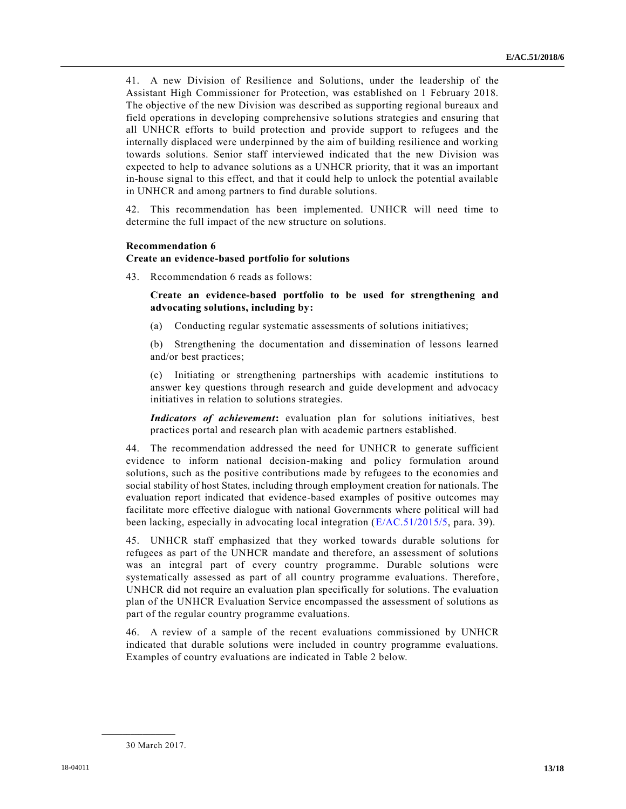41. A new Division of Resilience and Solutions, under the leadership of the Assistant High Commissioner for Protection, was established on 1 February 2018. The objective of the new Division was described as supporting regional bureaux and field operations in developing comprehensive solutions strategies and ensuring that all UNHCR efforts to build protection and provide support to refugees and the internally displaced were underpinned by the aim of building resilience and working towards solutions. Senior staff interviewed indicated that the new Division was expected to help to advance solutions as a UNHCR priority, that it was an important in-house signal to this effect, and that it could help to unlock the potential available in UNHCR and among partners to find durable solutions.

42. This recommendation has been implemented. UNHCR will need time to determine the full impact of the new structure on solutions.

#### **Recommendation 6**

#### **Create an evidence-based portfolio for solutions**

43. Recommendation 6 reads as follows:

**Create an evidence-based portfolio to be used for strengthening and advocating solutions, including by:**

(a) Conducting regular systematic assessments of solutions initiatives;

(b) Strengthening the documentation and dissemination of lessons learned and/or best practices;

(c) Initiating or strengthening partnerships with academic institutions to answer key questions through research and guide development and advocacy initiatives in relation to solutions strategies.

*Indicators of achievement***:** evaluation plan for solutions initiatives, best practices portal and research plan with academic partners established.

44. The recommendation addressed the need for UNHCR to generate sufficient evidence to inform national decision-making and policy formulation around solutions, such as the positive contributions made by refugees to the economies and social stability of host States, including through employment creation for nationals. The evaluation report indicated that evidence-based examples of positive outcomes may facilitate more effective dialogue with national Governments where political will had been lacking, especially in advocating local integration [\(E/AC.51/2015/5,](https://undocs.org/E/AC.51/2015/5) para. 39).

45. UNHCR staff emphasized that they worked towards durable solutions for refugees as part of the UNHCR mandate and therefore, an assessment of solutions was an integral part of every country programme. Durable solutions were systematically assessed as part of all country programme evaluations. Therefore , UNHCR did not require an evaluation plan specifically for solutions. The evaluation plan of the UNHCR Evaluation Service encompassed the assessment of solutions as part of the regular country programme evaluations.

46. A review of a sample of the recent evaluations commissioned by UNHCR indicated that durable solutions were included in country programme evaluations. Examples of country evaluations are indicated in Table 2 below.

<sup>30</sup> March 2017.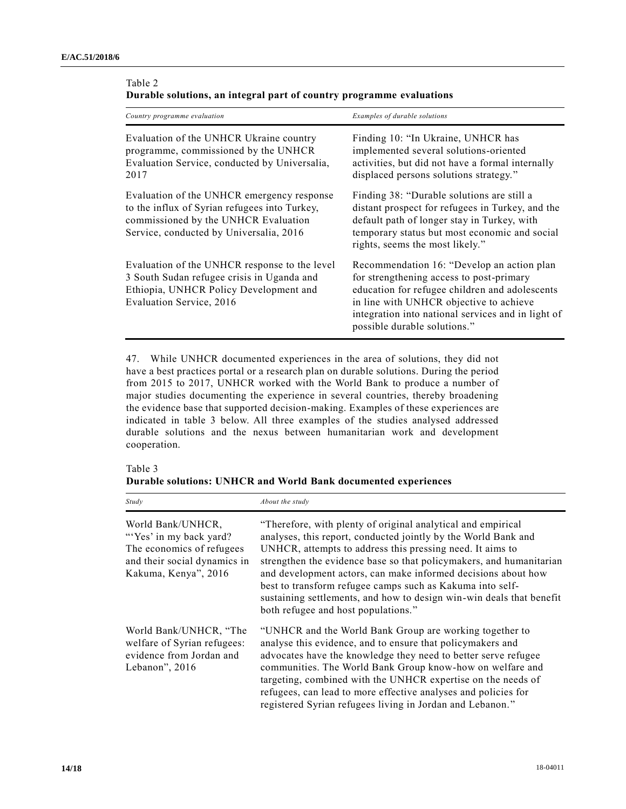| Country programme evaluation                                                                                                                                                   | Examples of durable solutions                                                                                                                                                                                                                                             |
|--------------------------------------------------------------------------------------------------------------------------------------------------------------------------------|---------------------------------------------------------------------------------------------------------------------------------------------------------------------------------------------------------------------------------------------------------------------------|
| Evaluation of the UNHCR Ukraine country<br>programme, commissioned by the UNHCR<br>Evaluation Service, conducted by Universalia,<br>2017                                       | Finding 10: "In Ukraine, UNHCR has<br>implemented several solutions-oriented<br>activities, but did not have a formal internally<br>displaced persons solutions strategy."                                                                                                |
| Evaluation of the UNHCR emergency response<br>to the influx of Syrian refugees into Turkey,<br>commissioned by the UNHCR Evaluation<br>Service, conducted by Universalia, 2016 | Finding 38: "Durable solutions are still a<br>distant prospect for refugees in Turkey, and the<br>default path of longer stay in Turkey, with<br>temporary status but most economic and social<br>rights, seems the most likely."                                         |
| Evaluation of the UNHCR response to the level<br>3 South Sudan refugee crisis in Uganda and<br>Ethiopia, UNHCR Policy Development and<br>Evaluation Service, 2016              | Recommendation 16: "Develop an action plan<br>for strengthening access to post-primary<br>education for refugee children and adolescents<br>in line with UNHCR objective to achieve<br>integration into national services and in light of<br>possible durable solutions." |

| Durable solutions, an integral part of country programme evaluations |  |
|----------------------------------------------------------------------|--|
| Table 2                                                              |  |

47. While UNHCR documented experiences in the area of solutions, they did not have a best practices portal or a research plan on durable solutions. During the period from 2015 to 2017, UNHCR worked with the World Bank to produce a number of major studies documenting the experience in several countries, thereby broadening the evidence base that supported decision-making. Examples of these experiences are indicated in table 3 below. All three examples of the studies analysed addressed durable solutions and the nexus between humanitarian work and development cooperation.

| Table 3 |  |                                                                |
|---------|--|----------------------------------------------------------------|
|         |  | Durable solutions: UNHCR and World Bank documented experiences |

| Study                                                                                                                             | About the study                                                                                                                                                                                                                                                                                                                                                                                                                                                                                                 |
|-----------------------------------------------------------------------------------------------------------------------------------|-----------------------------------------------------------------------------------------------------------------------------------------------------------------------------------------------------------------------------------------------------------------------------------------------------------------------------------------------------------------------------------------------------------------------------------------------------------------------------------------------------------------|
| World Bank/UNHCR,<br>"Yes' in my back yard?"<br>The economics of refugees<br>and their social dynamics in<br>Kakuma, Kenya", 2016 | "Therefore, with plenty of original analytical and empirical<br>analyses, this report, conducted jointly by the World Bank and<br>UNHCR, attempts to address this pressing need. It aims to<br>strengthen the evidence base so that policymakers, and humanitarian<br>and development actors, can make informed decisions about how<br>best to transform refugee camps such as Kakuma into self-<br>sustaining settlements, and how to design win-win deals that benefit<br>both refugee and host populations." |
| World Bank/UNHCR, "The<br>welfare of Syrian refugees:<br>evidence from Jordan and<br>Lebanon", $2016$                             | "UNHCR and the World Bank Group are working together to<br>analyse this evidence, and to ensure that policymakers and<br>advocates have the knowledge they need to better serve refugee<br>communities. The World Bank Group know-how on welfare and<br>targeting, combined with the UNHCR expertise on the needs of<br>refugees, can lead to more effective analyses and policies for<br>registered Syrian refugees living in Jordan and Lebanon."                                                             |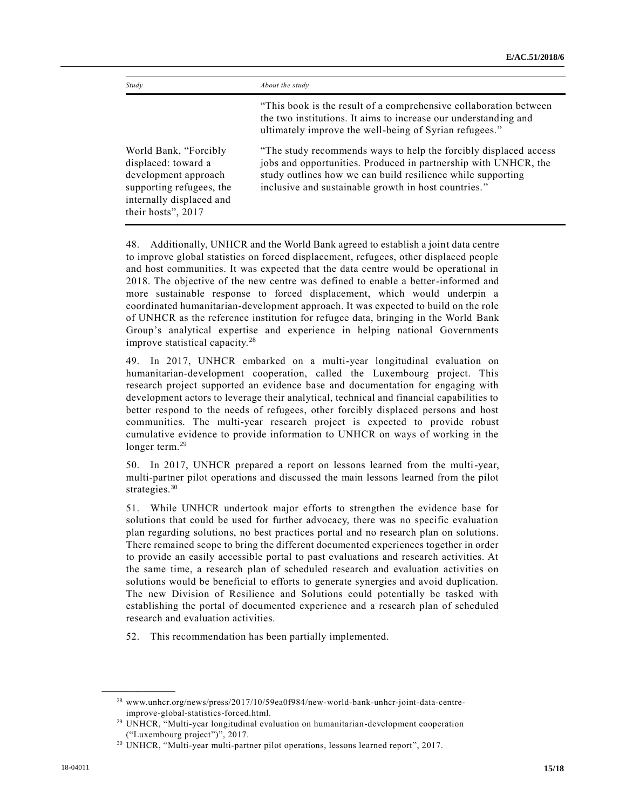| Study                                                                                                                                              | About the study                                                                                                                                                                                                                                             |
|----------------------------------------------------------------------------------------------------------------------------------------------------|-------------------------------------------------------------------------------------------------------------------------------------------------------------------------------------------------------------------------------------------------------------|
|                                                                                                                                                    | "This book is the result of a comprehensive collaboration between"<br>the two institutions. It aims to increase our understanding and<br>ultimately improve the well-being of Syrian refugees."                                                             |
| World Bank, "Forcibly<br>displaced: toward a<br>development approach<br>supporting refugees, the<br>internally displaced and<br>their hosts", 2017 | "The study recommends ways to help the forcibly displaced access"<br>jobs and opportunities. Produced in partnership with UNHCR, the<br>study outlines how we can build resilience while supporting<br>inclusive and sustainable growth in host countries." |

48. Additionally, UNHCR and the World Bank agreed to establish a joint data centre to improve global statistics on forced displacement, refugees, other displaced people and host communities. It was expected that the data centre would be operational in 2018. The objective of the new centre was defined to enable a better-informed and more sustainable response to forced displacement, which would underpin a coordinated humanitarian-development approach. It was expected to build on the role of UNHCR as the reference institution for refugee data, bringing in the World Bank Group's analytical expertise and experience in helping national Governments improve statistical capacity.<sup>28</sup>

49. In 2017, UNHCR embarked on a multi-year longitudinal evaluation on humanitarian-development cooperation, called the Luxembourg project. This research project supported an evidence base and documentation for engaging with development actors to leverage their analytical, technical and financial capabilities to better respond to the needs of refugees, other forcibly displaced persons and host communities. The multi-year research project is expected to provide robust cumulative evidence to provide information to UNHCR on ways of working in the longer term.<sup>29</sup>

50. In 2017, UNHCR prepared a report on lessons learned from the multi-year, multi-partner pilot operations and discussed the main lessons learned from the pilot strategies.<sup>30</sup>

51. While UNHCR undertook major efforts to strengthen the evidence base for solutions that could be used for further advocacy, there was no specific evaluation plan regarding solutions, no best practices portal and no research plan on solutions. There remained scope to bring the different documented experiences together in order to provide an easily accessible portal to past evaluations and research activities. At the same time, a research plan of scheduled research and evaluation activities on solutions would be beneficial to efforts to generate synergies and avoid duplication. The new Division of Resilience and Solutions could potentially be tasked with establishing the portal of documented experience and a research plan of scheduled research and evaluation activities.

52. This recommendation has been partially implemented.

<sup>28</sup> www.unhcr.org/news/press/2017/10/59ea0f984/new-world-bank-unhcr-joint-data-centreimprove-global-statistics-forced.html.

<sup>&</sup>lt;sup>29</sup> UNHCR, "Multi-year longitudinal evaluation on humanitarian-development cooperation ("Luxembourg project")", 2017.

<sup>30</sup> UNHCR, "Multi-year multi-partner pilot operations, lessons learned report", 2017.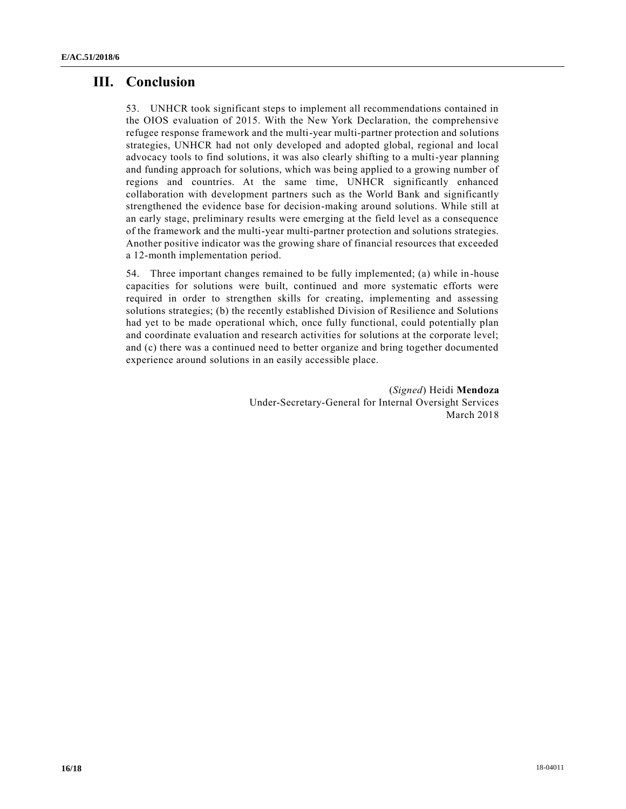# **III. Conclusion**

53. UNHCR took significant steps to implement all recommendations contained in the OIOS evaluation of 2015. With the New York Declaration, the comprehensive refugee response framework and the multi-year multi-partner protection and solutions strategies, UNHCR had not only developed and adopted global, regional and local advocacy tools to find solutions, it was also clearly shifting to a multi-year planning and funding approach for solutions, which was being applied to a growing number of regions and countries. At the same time, UNHCR significantly enhanced collaboration with development partners such as the World Bank and significantly strengthened the evidence base for decision-making around solutions. While still at an early stage, preliminary results were emerging at the field level as a consequence of the framework and the multi-year multi-partner protection and solutions strategies. Another positive indicator was the growing share of financial resources that exceeded a 12-month implementation period.

54. Three important changes remained to be fully implemented; (a) while in-house capacities for solutions were built, continued and more systematic efforts were required in order to strengthen skills for creating, implementing and assessing solutions strategies; (b) the recently established Division of Resilience and Solutions had yet to be made operational which, once fully functional, could potentially plan and coordinate evaluation and research activities for solutions at the corporate level; and (c) there was a continued need to better organize and bring together documented experience around solutions in an easily accessible place.

> (*Signed*) Heidi **Mendoza** Under-Secretary-General for Internal Oversight Services March 2018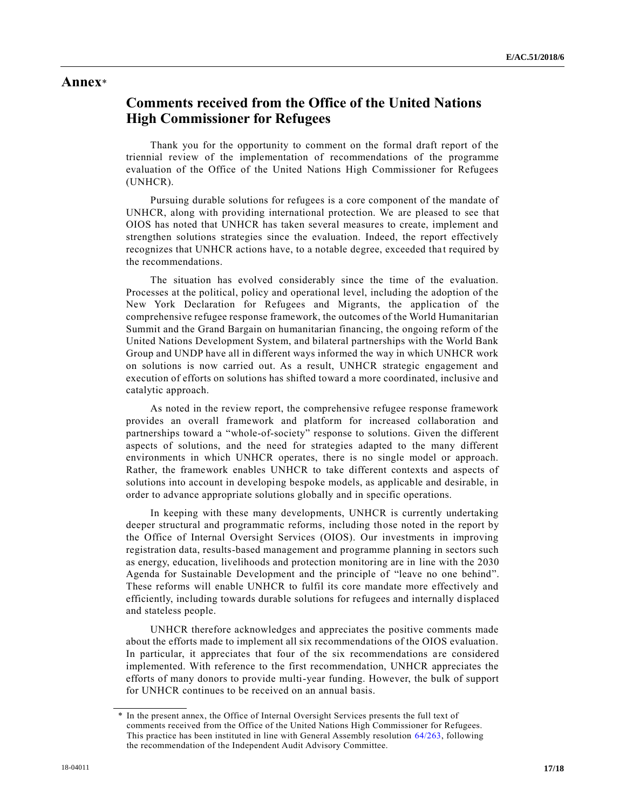# **Annex**\*

# **Comments received from the Office of the United Nations High Commissioner for Refugees**

Thank you for the opportunity to comment on the formal draft report of the triennial review of the implementation of recommendations of the programme evaluation of the Office of the United Nations High Commissioner for Refugees (UNHCR).

Pursuing durable solutions for refugees is a core component of the mandate of UNHCR, along with providing international protection. We are pleased to see that OIOS has noted that UNHCR has taken several measures to create, implement and strengthen solutions strategies since the evaluation. Indeed, the report effectively recognizes that UNHCR actions have, to a notable degree, exceeded tha t required by the recommendations.

The situation has evolved considerably since the time of the evaluation. Processes at the political, policy and operational level, including the adoption of the New York Declaration for Refugees and Migrants, the application of the comprehensive refugee response framework, the outcomes of the World Humanitarian Summit and the Grand Bargain on humanitarian financing, the ongoing reform of the United Nations Development System, and bilateral partnerships with the World Bank Group and UNDP have all in different ways informed the way in which UNHCR work on solutions is now carried out. As a result, UNHCR strategic engagement and execution of efforts on solutions has shifted toward a more coordinated, inclusive and catalytic approach.

As noted in the review report, the comprehensive refugee response framework provides an overall framework and platform for increased collaboration and partnerships toward a "whole-of-society" response to solutions. Given the different aspects of solutions, and the need for strategies adapted to the many different environments in which UNHCR operates, there is no single model or approach. Rather, the framework enables UNHCR to take different contexts and aspects of solutions into account in developing bespoke models, as applicable and desirable, in order to advance appropriate solutions globally and in specific operations.

In keeping with these many developments, UNHCR is currently undertaking deeper structural and programmatic reforms, including those noted in the report by the Office of Internal Oversight Services (OIOS). Our investments in improving registration data, results-based management and programme planning in sectors such as energy, education, livelihoods and protection monitoring are in line with the 2030 Agenda for Sustainable Development and the principle of "leave no one behind". These reforms will enable UNHCR to fulfil its core mandate more effectively and efficiently, including towards durable solutions for refugees and internally displaced and stateless people.

UNHCR therefore acknowledges and appreciates the positive comments made about the efforts made to implement all six recommendations of the OIOS evaluation. In particular, it appreciates that four of the six recommendations are considered implemented. With reference to the first recommendation, UNHCR appreciates the efforts of many donors to provide multi-year funding. However, the bulk of support for UNHCR continues to be received on an annual basis.

In the present annex, the Office of Internal Oversight Services presents the full text of comments received from the Office of the United Nations High Commissioner for Refugees. This practice has been instituted in line with General Assembly resolution [64/263,](https://undocs.org/A/RES/64/263) following the recommendation of the Independent Audit Advisory Committee.